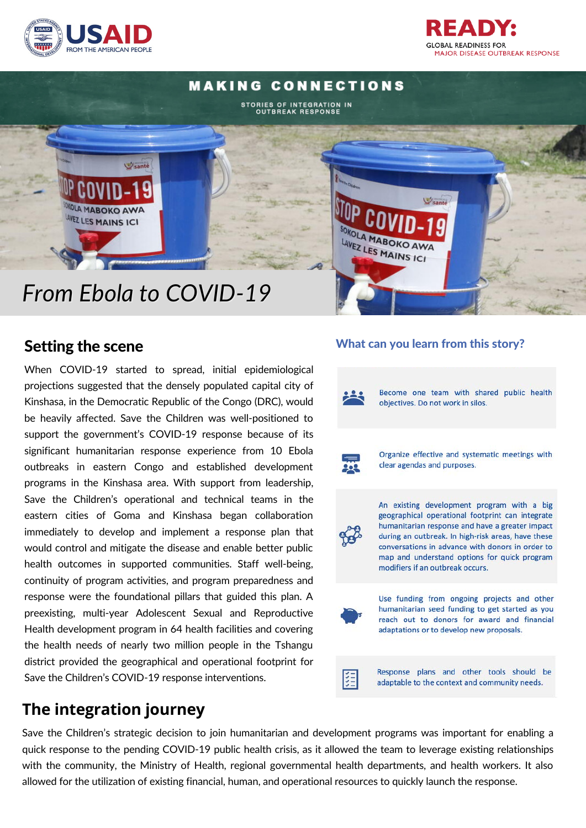



## Setting the scene

When COVID-19 started to spread, initial epidemiological projections suggested that the densely populated capital city of Kinshasa, in the Democratic Republic of the Congo (DRC), would be heavily affected. Save the Children was well-positioned to support the government's COVID-19 response because of its significant humanitarian response experience from 10 Ebola outbreaks in eastern Congo and established development programs in the Kinshasa area. With support from leadership, Save the Children's operational and technical teams in the eastern cities of Goma and Kinshasa began collaboration immediately to develop and implement a response plan that would control and mitigate the disease and enable better public health outcomes in supported communities. Staff well-being, continuity of program activities, and program preparedness and response were the foundational pillars that guided this plan. A preexisting, multi-year Adolescent Sexual and Reproductive Health development program in 64 health facilities and covering the health needs of nearly two million people in the Tshangu district provided the geographical and operational footprint for Save the Children's COVID-19 response interventions.

# **The integration journey**

### What can you learn from this story?

READ **GLOBAL READINESS FOR** 

**MAJOR DISEASE OUTBREAK RESPONSE** 



Save the Children's strategic decision to join humanitarian and development programs was important for enabling a quick response to the pending COVID-19 public health crisis, as it allowed the team to leverage existing relationships with the community, the Ministry of Health, regional governmental health departments, and health workers. It also allowed for the utilization of existing financial, human, and operational resources to quickly launch the response.